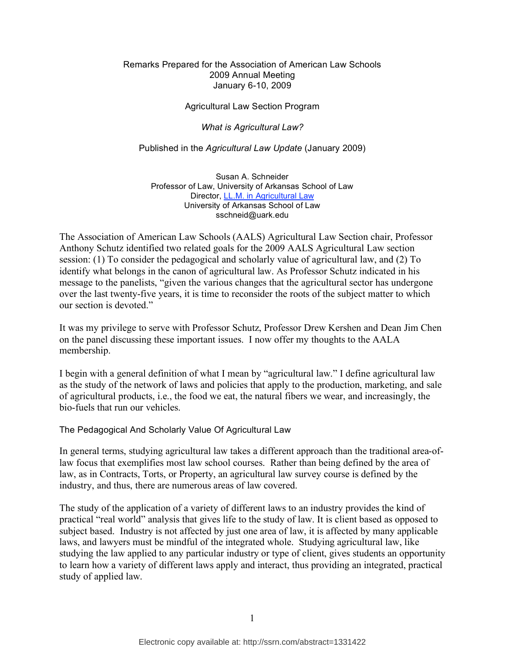### Remarks Prepared for the Association of American Law Schools 2009 Annual Meeting January 6-10, 2009

### Agricultural Law Section Program

#### *What is Agricultural Law?*

#### Published in the *Agricultural Law Update* (January 2009)

Susan A. Schneider Professor of Law, University of Arkansas School of Law Director, LL.M. in Agricultural Law University of Arkansas School of Law sschneid@uark.edu

The Association of American Law Schools (AALS) Agricultural Law Section chair, Professor Anthony Schutz identified two related goals for the 2009 AALS Agricultural Law section session: (1) To consider the pedagogical and scholarly value of agricultural law, and (2) To identify what belongs in the canon of agricultural law. As Professor Schutz indicated in his message to the panelists, "given the various changes that the agricultural sector has undergone over the last twenty-five years, it is time to reconsider the roots of the subject matter to which our section is devoted."

It was my privilege to serve with Professor Schutz, Professor Drew Kershen and Dean Jim Chen on the panel discussing these important issues. I now offer my thoughts to the AALA membership.

I begin with a general definition of what I mean by "agricultural law." I define agricultural law as the study of the network of laws and policies that apply to the production, marketing, and sale of agricultural products, i.e., the food we eat, the natural fibers we wear, and increasingly, the bio-fuels that run our vehicles.

#### The Pedagogical And Scholarly Value Of Agricultural Law

In general terms, studying agricultural law takes a different approach than the traditional area-oflaw focus that exemplifies most law school courses. Rather than being defined by the area of law, as in Contracts, Torts, or Property, an agricultural law survey course is defined by the industry, and thus, there are numerous areas of law covered.

The study of the application of a variety of different laws to an industry provides the kind of practical "real world" analysis that gives life to the study of law. It is client based as opposed to subject based. Industry is not affected by just one area of law, it is affected by many applicable laws, and lawyers must be mindful of the integrated whole. Studying agricultural law, like studying the law applied to any particular industry or type of client, gives students an opportunity to learn how a variety of different laws apply and interact, thus providing an integrated, practical study of applied law.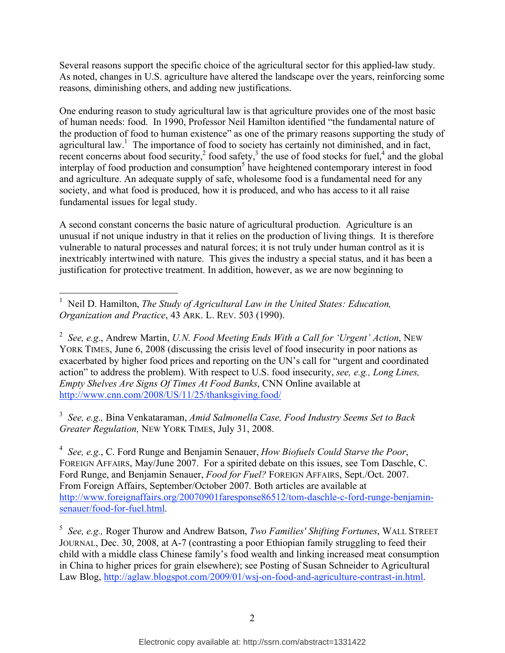Several reasons support the specific choice of the agricultural sector for this applied-law study. As noted, changes in U.S. agriculture have altered the landscape over the years, reinforcing some reasons, diminishing others, and adding new justifications.

One enduring reason to study agricultural law is that agriculture provides one of the most basic of human needs: food. In 1990, Professor Neil Hamilton identified "the fundamental nature of the production of food to human existence" as one of the primary reasons supporting the study of agricultural law.<sup>1</sup> The importance of food to society has certainly not diminished, and in fact, recent concerns about food security,<sup>2</sup> food safety,<sup>3</sup> the use of food stocks for fuel,<sup>4</sup> and the global interplay of food production and consumption<sup>5</sup> have heightened contemporary interest in food and agriculture. An adequate supply of safe, wholesome food is a fundamental need for any society, and what food is produced, how it is produced, and who has access to it all raise fundamental issues for legal study.

A second constant concerns the basic nature of agricultural production. Agriculture is an unusual if not unique industry in that it relies on the production of living things. It is therefore vulnerable to natural processes and natural forces; it is not truly under human control as it is inextricably intertwined with nature. This gives the industry a special status, and it has been a justification for protective treatment. In addition, however, as we are now beginning to

3 *See, e.g.,* Bina Venkataraman, *Amid Salmonella Case, Food Industry Seems Set to Back Greater Regulation,* NEW YORK TIMES, July 31, 2008.

4 *See, e.g.*, C. Ford Runge and Benjamin Senauer, *How Biofuels Could Starve the Poor*, FOREIGN AFFAIRS, May/June 2007. For a spirited debate on this issues, see Tom Daschle, C. Ford Runge, and Benjamin Senauer, *Food for Fuel?* FOREIGN AFFAIRS, Sept./Oct. 2007. From Foreign Affairs, September/October 2007. Both articles are available at http://www.foreignaffairs.org/20070901faresponse86512/tom-daschle-c-ford-runge-benjaminsenauer/food-for-fuel.html.

5 *See, e.g.,* Roger Thurow and Andrew Batson, *Two Families' Shifting Fortunes*, WALL STREET JOURNAL, Dec. 30, 2008, at A-7 (contrasting a poor Ethiopian family struggling to feed their child with a middle class Chinese family's food wealth and linking increased meat consumption in China to higher prices for grain elsewhere); see Posting of Susan Schneider to Agricultural Law Blog, http://aglaw.blogspot.com/2009/01/wsj-on-food-and-agriculture-contrast-in.html.

 <sup>1</sup> Neil D. Hamilton, *The Study of Agricultural Law in the United States: Education, Organization and Practice*, 43 ARK. L. REV. 503 (1990).

<sup>2</sup> *See, e.g*., Andrew Martin, *U.N. Food Meeting Ends With a Call for 'Urgent' Action*, NEW YORK TIMES, June 6, 2008 (discussing the crisis level of food insecurity in poor nations as exacerbated by higher food prices and reporting on the UN's call for "urgent and coordinated action" to address the problem). With respect to U.S. food insecurity, *see, e.g., Long Lines, Empty Shelves Are Signs Of Times At Food Banks*, CNN Online available at http://www.cnn.com/2008/US/11/25/thanksgiving.food/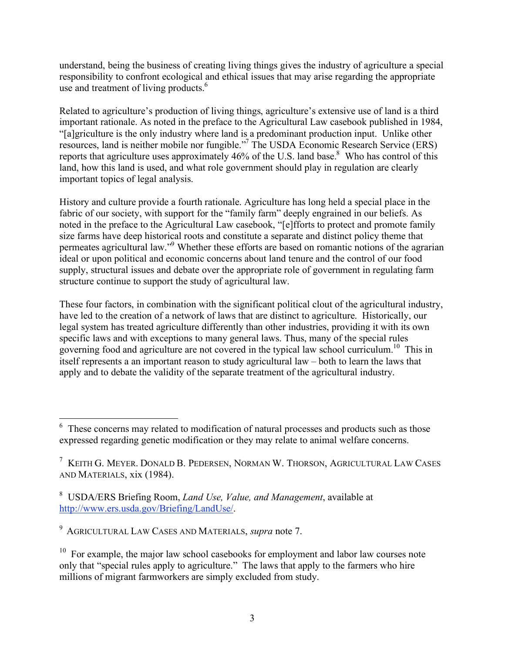understand, being the business of creating living things gives the industry of agriculture a special responsibility to confront ecological and ethical issues that may arise regarding the appropriate use and treatment of living products.<sup>6</sup>

Related to agriculture's production of living things, agriculture's extensive use of land is a third important rationale. As noted in the preface to the Agricultural Law casebook published in 1984, "[a]griculture is the only industry where land is a predominant production input. Unlike other resources, land is neither mobile nor fungible."7 The USDA Economic Research Service (ERS) reports that agriculture uses approximately 46% of the U.S. land base.<sup>8</sup> Who has control of this land, how this land is used, and what role government should play in regulation are clearly important topics of legal analysis.

History and culture provide a fourth rationale. Agriculture has long held a special place in the fabric of our society, with support for the "family farm" deeply engrained in our beliefs. As noted in the preface to the Agricultural Law casebook, "[e]fforts to protect and promote family size farms have deep historical roots and constitute a separate and distinct policy theme that permeates agricultural law."<sup>9</sup> Whether these efforts are based on romantic notions of the agrarian ideal or upon political and economic concerns about land tenure and the control of our food supply, structural issues and debate over the appropriate role of government in regulating farm structure continue to support the study of agricultural law.

These four factors, in combination with the significant political clout of the agricultural industry, have led to the creation of a network of laws that are distinct to agriculture. Historically, our legal system has treated agriculture differently than other industries, providing it with its own specific laws and with exceptions to many general laws. Thus, many of the special rules governing food and agriculture are not covered in the typical law school curriculum.<sup>10</sup> This in itself represents a an important reason to study agricultural law – both to learn the laws that apply and to debate the validity of the separate treatment of the agricultural industry.

 <sup>6</sup> These concerns may related to modification of natural processes and products such as those expressed regarding genetic modification or they may relate to animal welfare concerns.

<sup>7</sup> KEITH G. MEYER. DONALD B. PEDERSEN, NORMAN W. THORSON, AGRICULTURAL LAW CASES AND MATERIALS, xix (1984).

<sup>8</sup> USDA/ERS Briefing Room, *Land Use, Value, and Management*, available at http://www.ers.usda.gov/Briefing/LandUse/.

<sup>9</sup> AGRICULTURAL LAW CASES AND MATERIALS, *supra* note 7.

 $10$  For example, the major law school casebooks for employment and labor law courses note only that "special rules apply to agriculture." The laws that apply to the farmers who hire millions of migrant farmworkers are simply excluded from study.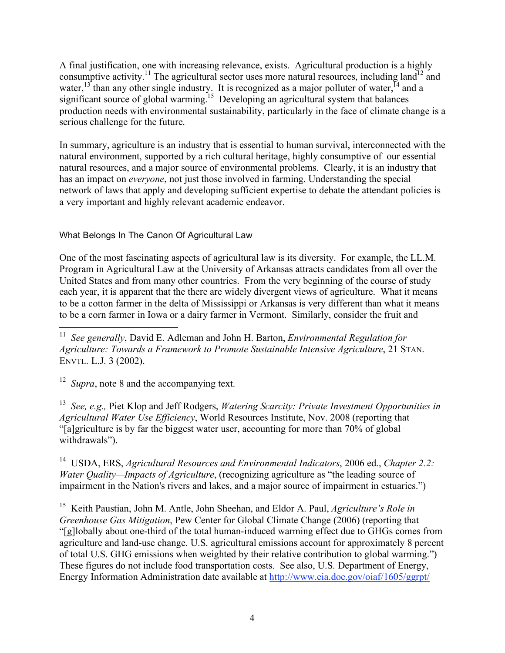A final justification, one with increasing relevance, exists. Agricultural production is a highly consumptive activity.<sup>11</sup> The agricultural sector uses more natural resources, including land<sup>12</sup> and water,  $13$  than any other single industry. It is recognized as a major polluter of water,  $14$  and a significant source of global warming.<sup>15</sup> Developing an agricultural system that balances production needs with environmental sustainability, particularly in the face of climate change is a serious challenge for the future.

In summary, agriculture is an industry that is essential to human survival, interconnected with the natural environment, supported by a rich cultural heritage, highly consumptive of our essential natural resources, and a major source of environmental problems. Clearly, it is an industry that has an impact on *everyone*, not just those involved in farming. Understanding the special network of laws that apply and developing sufficient expertise to debate the attendant policies is a very important and highly relevant academic endeavor.

What Belongs In The Canon Of Agricultural Law

One of the most fascinating aspects of agricultural law is its diversity. For example, the LL.M. Program in Agricultural Law at the University of Arkansas attracts candidates from all over the United States and from many other countries. From the very beginning of the course of study each year, it is apparent that the there are widely divergent views of agriculture. What it means to be a cotton farmer in the delta of Mississippi or Arkansas is very different than what it means to be a corn farmer in Iowa or a dairy farmer in Vermont. Similarly, consider the fruit and

<sup>12</sup> *Supra*, note 8 and the accompanying text.

13 *See, e.g.,* Piet Klop and Jeff Rodgers, *Watering Scarcity: Private Investment Opportunities in Agricultural Water Use Efficiency*, World Resources Institute, Nov. 2008 (reporting that "[a]griculture is by far the biggest water user, accounting for more than 70% of global withdrawals").

14 USDA, ERS, *Agricultural Resources and Environmental Indicators*, 2006 ed., *Chapter 2.2: Water Quality—Impacts of Agriculture*, (recognizing agriculture as "the leading source of impairment in the Nation's rivers and lakes, and a major source of impairment in estuaries.")

15 Keith Paustian, John M. Antle, John Sheehan, and Eldor A. Paul, *Agriculture's Role in Greenhouse Gas Mitigation*, Pew Center for Global Climate Change (2006) (reporting that "[g]lobally about one-third of the total human-induced warming effect due to GHGs comes from agriculture and land-use change. U.S. agricultural emissions account for approximately 8 percent of total U.S. GHG emissions when weighted by their relative contribution to global warming.") These figures do not include food transportation costs. See also, U.S. Department of Energy, Energy Information Administration date available at http://www.eia.doe.gov/oiaf/1605/ggrpt/

 <sup>11</sup> *See generally*, David E. Adleman and John H. Barton, *Environmental Regulation for Agriculture: Towards a Framework to Promote Sustainable Intensive Agriculture*, 21 STAN. ENVTL. L.J. 3 (2002).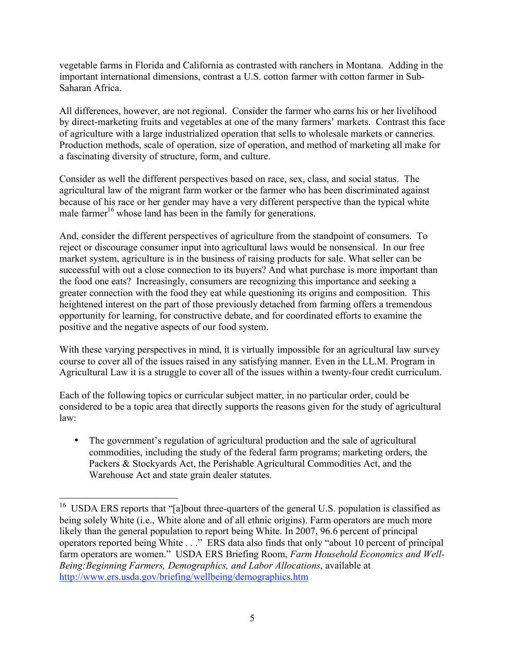vegetable farms in Florida and California as contrasted with ranchers in Montana. Adding in the important international dimensions, contrast a U.S. cotton farmer with cotton farmer in Sub-Saharan Africa.

All differences, however, are not regional. Consider the farmer who earns his or her livelihood by direct-marketing fruits and vegetables at one of the many farmers' markets. Contrast this face of agriculture with a large industrialized operation that sells to wholesale markets or canneries. Production methods, scale of operation, size of operation, and method of marketing all make for a fascinating diversity of structure, form, and culture.

Consider as well the different perspectives based on race, sex, class, and social status. The agricultural law of the migrant farm worker or the farmer who has been discriminated against because of his race or her gender may have a very different perspective than the typical white male farmer<sup>16</sup> whose land has been in the family for generations.

And, consider the different perspectives of agriculture from the standpoint of consumers. To reject or discourage consumer input into agricultural laws would be nonsensical. In our free market system, agriculture is in the business of raising products for sale. What seller can be successful with out a close connection to its buyers? And what purchase is more important than the food one eats? Increasingly, consumers are recognizing this importance and seeking a greater connection with the food they eat while questioning its origins and composition. This heightened interest on the part of those previously detached from farming offers a tremendous opportunity for learning, for constructive debate, and for coordinated efforts to examine the positive and the negative aspects of our food system.

With these varying perspectives in mind, it is virtually impossible for an agricultural law survey course to cover all of the issues raised in any satisfying manner. Even in the LL.M. Program in Agricultural Law it is a struggle to cover all of the issues within a twenty-four credit curriculum.

Each of the following topics or curricular subject matter, in no particular order, could be considered to be a topic area that directly supports the reasons given for the study of agricultural law:

• The government's regulation of agricultural production and the sale of agricultural commodities, including the study of the federal farm programs; marketing orders, the Packers & Stockyards Act, the Perishable Agricultural Commodities Act, and the Warehouse Act and state grain dealer statutes.

<sup>&</sup>lt;sup>16</sup> USDA ERS reports that "[a]bout three-quarters of the general U.S. population is classified as being solely White (i.e., White alone and of all ethnic origins). Farm operators are much more likely than the general population to report being White. In 2007, 96.6 percent of principal operators reported being White . . ." ERS data also finds that only "about 10 percent of principal farm operators are women." USDA ERS Briefing Room, *Farm Household Economics and Well-Being:Beginning Farmers, Demographics, and Labor Allocations*, available at http://www.ers.usda.gov/briefing/wellbeing/demographics.htm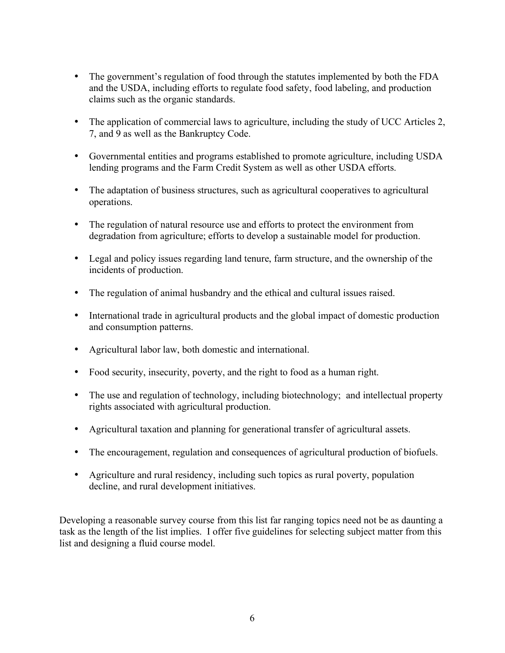- The government's regulation of food through the statutes implemented by both the FDA and the USDA, including efforts to regulate food safety, food labeling, and production claims such as the organic standards.
- The application of commercial laws to agriculture, including the study of UCC Articles 2, 7, and 9 as well as the Bankruptcy Code.
- Governmental entities and programs established to promote agriculture, including USDA lending programs and the Farm Credit System as well as other USDA efforts.
- The adaptation of business structures, such as agricultural cooperatives to agricultural operations.
- The regulation of natural resource use and efforts to protect the environment from degradation from agriculture; efforts to develop a sustainable model for production.
- Legal and policy issues regarding land tenure, farm structure, and the ownership of the incidents of production.
- The regulation of animal husbandry and the ethical and cultural issues raised.
- International trade in agricultural products and the global impact of domestic production and consumption patterns.
- Agricultural labor law, both domestic and international.
- Food security, insecurity, poverty, and the right to food as a human right.
- The use and regulation of technology, including biotechnology; and intellectual property rights associated with agricultural production.
- Agricultural taxation and planning for generational transfer of agricultural assets.
- The encouragement, regulation and consequences of agricultural production of biofuels.
- Agriculture and rural residency, including such topics as rural poverty, population decline, and rural development initiatives.

Developing a reasonable survey course from this list far ranging topics need not be as daunting a task as the length of the list implies. I offer five guidelines for selecting subject matter from this list and designing a fluid course model.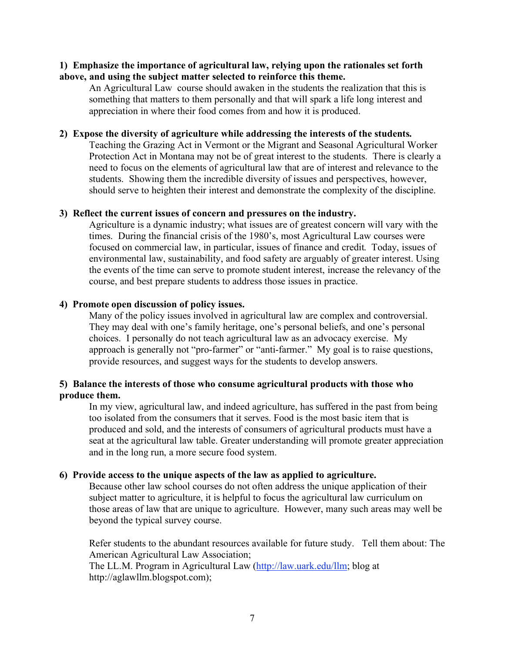## **1) Emphasize the importance of agricultural law, relying upon the rationales set forth above, and using the subject matter selected to reinforce this theme.**

An Agricultural Law course should awaken in the students the realization that this is something that matters to them personally and that will spark a life long interest and appreciation in where their food comes from and how it is produced.

### **2) Expose the diversity of agriculture while addressing the interests of the students.**

Teaching the Grazing Act in Vermont or the Migrant and Seasonal Agricultural Worker Protection Act in Montana may not be of great interest to the students. There is clearly a need to focus on the elements of agricultural law that are of interest and relevance to the students. Showing them the incredible diversity of issues and perspectives, however, should serve to heighten their interest and demonstrate the complexity of the discipline.

# **3) Reflect the current issues of concern and pressures on the industry.**

Agriculture is a dynamic industry; what issues are of greatest concern will vary with the times. During the financial crisis of the 1980's, most Agricultural Law courses were focused on commercial law, in particular, issues of finance and credit. Today, issues of environmental law, sustainability, and food safety are arguably of greater interest. Using the events of the time can serve to promote student interest, increase the relevancy of the course, and best prepare students to address those issues in practice.

### **4) Promote open discussion of policy issues.**

Many of the policy issues involved in agricultural law are complex and controversial. They may deal with one's family heritage, one's personal beliefs, and one's personal choices. I personally do not teach agricultural law as an advocacy exercise. My approach is generally not "pro-farmer" or "anti-farmer." My goal is to raise questions, provide resources, and suggest ways for the students to develop answers.

# **5) Balance the interests of those who consume agricultural products with those who produce them.**

In my view, agricultural law, and indeed agriculture, has suffered in the past from being too isolated from the consumers that it serves. Food is the most basic item that is produced and sold, and the interests of consumers of agricultural products must have a seat at the agricultural law table. Greater understanding will promote greater appreciation and in the long run, a more secure food system.

#### **6) Provide access to the unique aspects of the law as applied to agriculture.**

Because other law school courses do not often address the unique application of their subject matter to agriculture, it is helpful to focus the agricultural law curriculum on those areas of law that are unique to agriculture. However, many such areas may well be beyond the typical survey course.

Refer students to the abundant resources available for future study. Tell them about: The American Agricultural Law Association; The LL.M. Program in Agricultural Law (http://law.uark.edu/llm; blog at

http://aglawllm.blogspot.com);